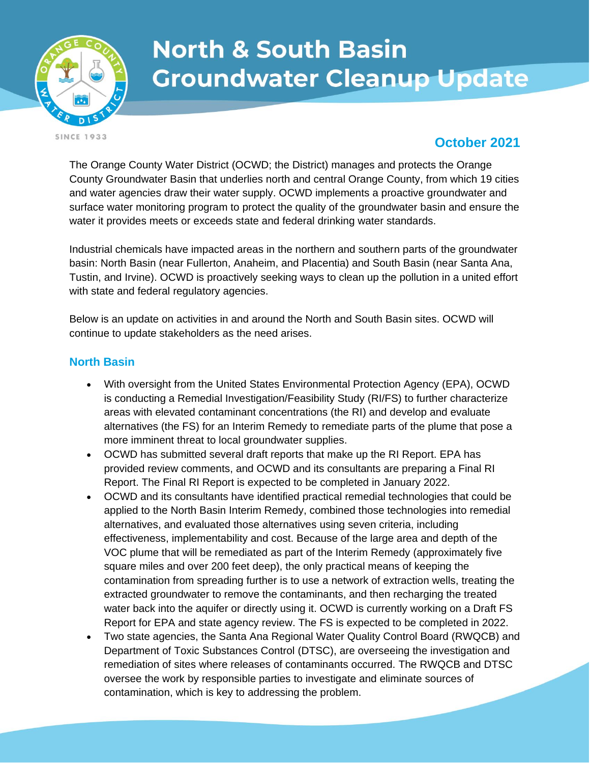

# **North & South Basin Groundwater Cleanup Update**

**SINCE 1933** 

## **October 2021**

The Orange County Water District (OCWD; the District) manages and protects the Orange County Groundwater Basin that underlies north and central Orange County, from which 19 cities and water agencies draw their water supply. OCWD implements a proactive groundwater and surface water monitoring program to protect the quality of the groundwater basin and ensure the water it provides meets or exceeds state and federal drinking water standards.

Industrial chemicals have impacted areas in the northern and southern parts of the groundwater basin: North Basin (near Fullerton, Anaheim, and Placentia) and South Basin (near Santa Ana, Tustin, and Irvine). OCWD is proactively seeking ways to clean up the pollution in a united effort with state and federal regulatory agencies.

Below is an update on activities in and around the North and South Basin sites. OCWD will continue to update stakeholders as the need arises.

#### **North Basin**

- With oversight from the United States Environmental Protection Agency (EPA), OCWD is conducting a Remedial Investigation/Feasibility Study (RI/FS) to further characterize areas with elevated contaminant concentrations (the RI) and develop and evaluate alternatives (the FS) for an Interim Remedy to remediate parts of the plume that pose a more imminent threat to local groundwater supplies.
- OCWD has submitted several draft reports that make up the RI Report. EPA has provided review comments, and OCWD and its consultants are preparing a Final RI Report. The Final RI Report is expected to be completed in January 2022.
- OCWD and its consultants have identified practical remedial technologies that could be applied to the North Basin Interim Remedy, combined those technologies into remedial alternatives, and evaluated those alternatives using seven criteria, including effectiveness, implementability and cost. Because of the large area and depth of the VOC plume that will be remediated as part of the Interim Remedy (approximately five square miles and over 200 feet deep), the only practical means of keeping the contamination from spreading further is to use a network of extraction wells, treating the extracted groundwater to remove the contaminants, and then recharging the treated water back into the aquifer or directly using it. OCWD is currently working on a Draft FS Report for EPA and state agency review. The FS is expected to be completed in 2022.
- Two state agencies, the Santa Ana Regional Water Quality Control Board (RWQCB) and Department of Toxic Substances Control (DTSC), are overseeing the investigation and remediation of sites where releases of contaminants occurred. The RWQCB and DTSC oversee the work by responsible parties to investigate and eliminate sources of contamination, which is key to addressing the problem.